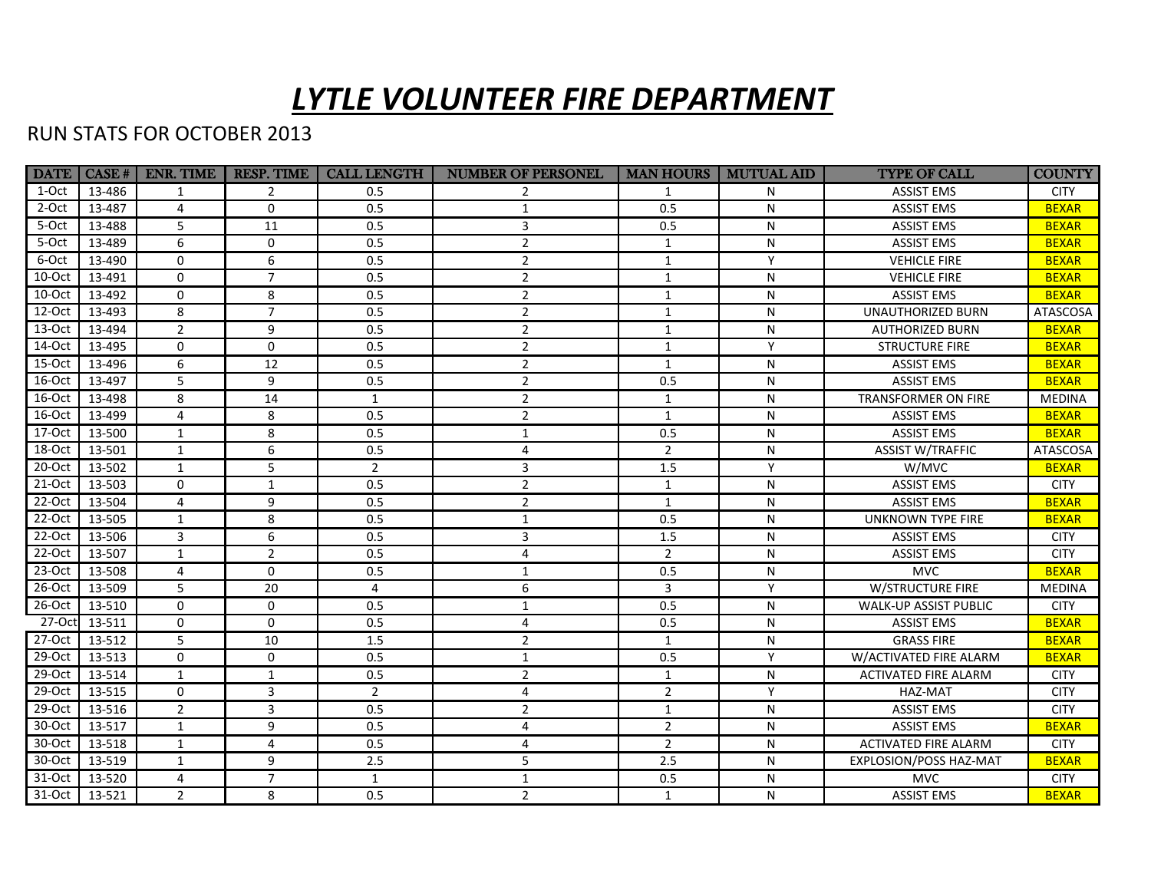## *LYTLE VOLUNTEER FIRE DEPARTMENT*

## RUN STATS FOR OCTOBER 2013

|          |               | DATE   CASE #   ENR. TIME | <b>RESP. TIME</b> | <b>CALL LENGTH</b> | <b>NUMBER OF PERSONEL</b> |                | <b>MAN HOURS   MUTUAL AID</b> | <b>TYPE OF CALL</b>         | <b>COUNTY</b>   |
|----------|---------------|---------------------------|-------------------|--------------------|---------------------------|----------------|-------------------------------|-----------------------------|-----------------|
| 1-Oct    | 13-486        | 1                         | $\overline{2}$    | 0.5                |                           | 1              | N                             | <b>ASSIST EMS</b>           | <b>CITY</b>     |
| 2-Oct    | 13-487        | $\overline{4}$            | $\Omega$          | 0.5                | $\mathbf{1}$              | 0.5            | N                             | <b>ASSIST EMS</b>           | <b>BEXAR</b>    |
| 5-Oct    | 13-488        | 5                         | 11                | 0.5                | $\overline{3}$            | 0.5            | N                             | <b>ASSIST EMS</b>           | <b>BEXAR</b>    |
| 5-Oct    | 13-489        | 6                         | $\Omega$          | 0.5                | $\overline{2}$            | $\mathbf{1}$   | N                             | <b>ASSIST EMS</b>           | <b>BEXAR</b>    |
| 6-Oct    | 13-490        | $\mathbf 0$               | 6                 | 0.5                | $\overline{2}$            | $\mathbf{1}$   | Y                             | <b>VEHICLE FIRE</b>         | <b>BEXAR</b>    |
| $10-Oct$ | 13-491        | $\Omega$                  | $\overline{7}$    | 0.5                | $\overline{2}$            | $\mathbf{1}$   | N                             | <b>VEHICLE FIRE</b>         | <b>BEXAR</b>    |
| 10-Oct   | 13-492        | $\Omega$                  | 8                 | 0.5                | 2                         | $\mathbf{1}$   | N                             | <b>ASSIST EMS</b>           | <b>BEXAR</b>    |
| 12-Oct   | 13-493        | 8                         | $\overline{7}$    | 0.5                | $\overline{2}$            | $\mathbf{1}$   | N                             | <b>UNAUTHORIZED BURN</b>    | <b>ATASCOSA</b> |
| 13-Oct   | 13-494        | $\overline{2}$            | 9                 | 0.5                | $\overline{2}$            | $\mathbf{1}$   | N                             | <b>AUTHORIZED BURN</b>      | <b>BEXAR</b>    |
| 14-Oct   | 13-495        | $\Omega$                  | $\Omega$          | 0.5                | $\overline{2}$            | $\mathbf{1}$   | Y                             | <b>STRUCTURE FIRE</b>       | <b>BEXAR</b>    |
| 15-Oct   | 13-496        | 6                         | 12                | 0.5                | $\overline{2}$            | $\mathbf{1}$   | N                             | <b>ASSIST EMS</b>           | <b>BEXAR</b>    |
| 16-Oct   | 13-497        | 5                         | 9                 | 0.5                | $\overline{2}$            | 0.5            | N                             | <b>ASSIST EMS</b>           | <b>BEXAR</b>    |
| 16-Oct   | 13-498        | 8                         | 14                | $\mathbf{1}$       | $\overline{2}$            | $\mathbf{1}$   | N                             | TRANSFORMER ON FIRE         | <b>MEDINA</b>   |
| 16-Oct   | 13-499        | $\overline{4}$            | 8                 | 0.5                | $\overline{2}$            | $\mathbf{1}$   | N                             | <b>ASSIST EMS</b>           | <b>BEXAR</b>    |
| 17-Oct   | 13-500        | $\mathbf{1}$              | 8                 | 0.5                | $\mathbf{1}$              | 0.5            | N                             | <b>ASSIST EMS</b>           | <b>BEXAR</b>    |
| 18-Oct   | 13-501        | $\mathbf{1}$              | 6                 | 0.5                | $\overline{4}$            | $\overline{2}$ | N                             | <b>ASSIST W/TRAFFIC</b>     | ATASCOSA        |
| $20-Oct$ | 13-502        | $\mathbf{1}$              | 5                 | $\overline{2}$     | 3                         | 1.5            | Y                             | W/MVC                       | <b>BEXAR</b>    |
| $21-Oct$ | 13-503        | $\Omega$                  | $\mathbf{1}$      | 0.5                | $\overline{2}$            | $\mathbf{1}$   | N                             | <b>ASSIST EMS</b>           | <b>CITY</b>     |
| 22-Oct   | 13-504        | $\overline{4}$            | 9                 | 0.5                | $\overline{2}$            | $\mathbf{1}$   | N                             | <b>ASSIST EMS</b>           | <b>BEXAR</b>    |
| $22-Oct$ | 13-505        | $\mathbf{1}$              | 8                 | 0.5                | $\mathbf{1}$              | 0.5            | N                             | <b>UNKNOWN TYPE FIRE</b>    | <b>BEXAR</b>    |
| 22-Oct   | 13-506        | 3                         | 6                 | 0.5                | 3                         | 1.5            | N                             | <b>ASSIST EMS</b>           | <b>CITY</b>     |
| 22-Oct   | 13-507        | 1                         | $\overline{2}$    | 0.5                | 4                         | $\overline{2}$ | N                             | <b>ASSIST EMS</b>           | <b>CITY</b>     |
| $23-Oct$ | 13-508        | $\overline{4}$            | $\mathbf 0$       | 0.5                | 1                         | 0.5            | N                             | <b>MVC</b>                  | <b>BEXAR</b>    |
| 26-Oct   | 13-509        | 5                         | 20                | 4                  | 6                         | 3              | Y                             | <b>W/STRUCTURE FIRE</b>     | <b>MEDINA</b>   |
| 26-Oct   | 13-510        | $\Omega$                  | $\Omega$          | 0.5                | $\mathbf{1}$              | 0.5            | N                             | WALK-UP ASSIST PUBLIC       | <b>CITY</b>     |
|          | 27-Oct 13-511 | $\mathbf 0$               | $\mathbf 0$       | 0.5                | 4                         | 0.5            | N                             | <b>ASSIST EMS</b>           | <b>BEXAR</b>    |
| $27-Oct$ | 13-512        | 5                         | 10                | 1.5                | $\overline{2}$            | $\mathbf{1}$   | N                             | <b>GRASS FIRE</b>           | <b>BEXAR</b>    |
| 29-Oct   | 13-513        | $\Omega$                  | $\Omega$          | 0.5                | $\mathbf{1}$              | 0.5            | Y                             | W/ACTIVATED FIRE ALARM      | <b>BEXAR</b>    |
| 29-Oct   | 13-514        | $\mathbf{1}$              | $\mathbf{1}$      | 0.5                | $\overline{2}$            | $\mathbf{1}$   | N                             | ACTIVATED FIRE ALARM        | <b>CITY</b>     |
| $29-Oct$ | 13-515        | $\Omega$                  | 3                 | $\overline{2}$     | 4                         | $\overline{2}$ | Y                             | HAZ-MAT                     | <b>CITY</b>     |
| $29-Oct$ | 13-516        | $\overline{2}$            | 3                 | 0.5                | 2                         | $\mathbf{1}$   | N                             | <b>ASSIST EMS</b>           | <b>CITY</b>     |
| 30-Oct   | 13-517        | $\mathbf{1}$              | 9                 | 0.5                | 4                         | $\overline{2}$ | N                             | <b>ASSIST EMS</b>           | <b>BEXAR</b>    |
| 30-Oct   | 13-518        | $\mathbf{1}$              | 4                 | 0.5                | 4                         | $\overline{2}$ | N                             | <b>ACTIVATED FIRE ALARM</b> | <b>CITY</b>     |
| 30-Oct   | 13-519        | $\mathbf{1}$              | 9                 | 2.5                | 5                         | 2.5            | N                             | EXPLOSION/POSS HAZ-MAT      | <b>BEXAR</b>    |
| 31-Oct   | 13-520        | $\overline{4}$            | $\overline{7}$    | 1                  | $\mathbf{1}$              | 0.5            | N                             | <b>MVC</b>                  | <b>CITY</b>     |
| 31-Oct   | 13-521        | $\overline{2}$            | 8                 | 0.5                | $\overline{2}$            | $\mathbf{1}$   | N                             | <b>ASSIST EMS</b>           | <b>BEXAR</b>    |